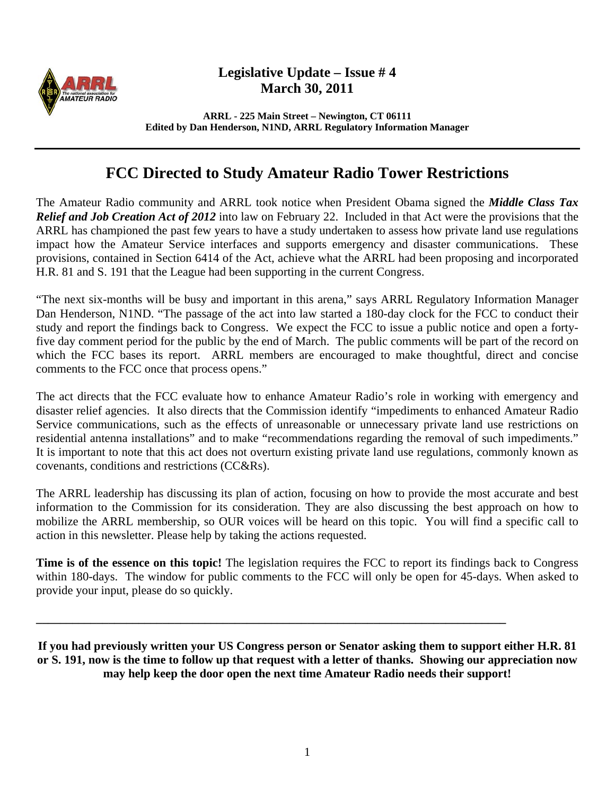

## **Legislative Update – Issue # 4 March 30, 2011**

**ARRL - 225 Main Street – Newington, CT 06111 Edited by Dan Henderson, N1ND, ARRL Regulatory Information Manager** 

## **FCC Directed to Study Amateur Radio Tower Restrictions**

The Amateur Radio community and ARRL took notice when President Obama signed the *Middle Class Tax Relief and Job Creation Act of 2012* into law on February 22. Included in that Act were the provisions that the ARRL has championed the past few years to have a study undertaken to assess how private land use regulations impact how the Amateur Service interfaces and supports emergency and disaster communications. These provisions, contained in Section 6414 of the Act, achieve what the ARRL had been proposing and incorporated H.R. 81 and S. 191 that the League had been supporting in the current Congress.

"The next six-months will be busy and important in this arena," says ARRL Regulatory Information Manager Dan Henderson, N1ND. "The passage of the act into law started a 180-day clock for the FCC to conduct their study and report the findings back to Congress. We expect the FCC to issue a public notice and open a fortyfive day comment period for the public by the end of March. The public comments will be part of the record on which the FCC bases its report. ARRL members are encouraged to make thoughtful, direct and concise comments to the FCC once that process opens."

The act directs that the FCC evaluate how to enhance Amateur Radio's role in working with emergency and disaster relief agencies. It also directs that the Commission identify "impediments to enhanced Amateur Radio Service communications, such as the effects of unreasonable or unnecessary private land use restrictions on residential antenna installations" and to make "recommendations regarding the removal of such impediments." It is important to note that this act does not overturn existing private land use regulations, commonly known as covenants, conditions and restrictions (CC&Rs).

The ARRL leadership has discussing its plan of action, focusing on how to provide the most accurate and best information to the Commission for its consideration. They are also discussing the best approach on how to mobilize the ARRL membership, so OUR voices will be heard on this topic. You will find a specific call to action in this newsletter. Please help by taking the actions requested.

**Time is of the essence on this topic!** The legislation requires the FCC to report its findings back to Congress within 180-days. The window for public comments to the FCC will only be open for 45-days. When asked to provide your input, please do so quickly.

**If you had previously written your US Congress person or Senator asking them to support either H.R. 81 or S. 191, now is the time to follow up that request with a letter of thanks. Showing our appreciation now may help keep the door open the next time Amateur Radio needs their support!** 

**\_\_\_\_\_\_\_\_\_\_\_\_\_\_\_\_\_\_\_\_\_\_\_\_\_\_\_\_\_\_\_\_\_\_\_\_\_\_\_\_\_\_\_\_\_\_\_\_\_\_\_\_\_\_\_\_\_\_\_\_\_\_\_\_\_\_\_\_\_\_\_\_\_\_\_\_\_\_**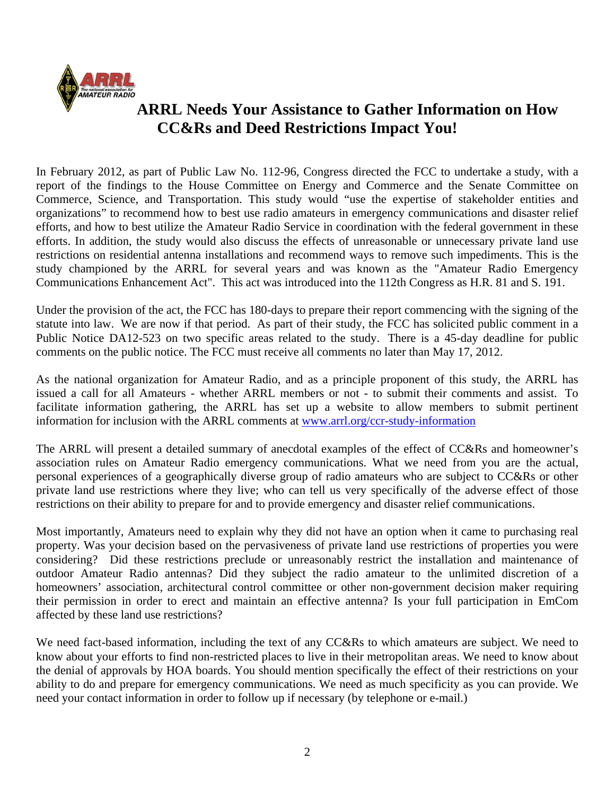

## **ARRL Needs Your Assistance to Gather Information on How CC&Rs and Deed Restrictions Impact You!**

In February 2012, as part of Public Law No. 112-96, Congress directed the FCC to undertake a study, with a report of the findings to the House Committee on Energy and Commerce and the Senate Committee on Commerce, Science, and Transportation. This study would "use the expertise of stakeholder entities and organizations" to recommend how to best use radio amateurs in emergency communications and disaster relief efforts, and how to best utilize the Amateur Radio Service in coordination with the federal government in these efforts. In addition, the study would also discuss the effects of unreasonable or unnecessary private land use restrictions on residential antenna installations and recommend ways to remove such impediments. This is the study championed by the ARRL for several years and was known as the "Amateur Radio Emergency Communications Enhancement Act". This act was introduced into the 112th Congress as H.R. 81 and S. 191.

Under the provision of the act, the FCC has 180-days to prepare their report commencing with the signing of the statute into law. We are now if that period. As part of their study, the FCC has solicited public comment in a Public Notice DA12-523 on two specific areas related to the study. There is a 45-day deadline for public comments on the public notice. The FCC must receive all comments no later than May 17, 2012.

As the national organization for Amateur Radio, and as a principle proponent of this study, the ARRL has issued a call for all Amateurs - whether ARRL members or not - to submit their comments and assist. To facilitate information gathering, the ARRL has set up a website to allow members to submit pertinent information for inclusion with the ARRL comments at www.arrl.org/ccr-study-information

The ARRL will present a detailed summary of anecdotal examples of the effect of CC&Rs and homeowner's association rules on Amateur Radio emergency communications. What we need from you are the actual, personal experiences of a geographically diverse group of radio amateurs who are subject to CC&Rs or other private land use restrictions where they live; who can tell us very specifically of the adverse effect of those restrictions on their ability to prepare for and to provide emergency and disaster relief communications.

Most importantly, Amateurs need to explain why they did not have an option when it came to purchasing real property. Was your decision based on the pervasiveness of private land use restrictions of properties you were considering? Did these restrictions preclude or unreasonably restrict the installation and maintenance of outdoor Amateur Radio antennas? Did they subject the radio amateur to the unlimited discretion of a homeowners' association, architectural control committee or other non-government decision maker requiring their permission in order to erect and maintain an effective antenna? Is your full participation in EmCom affected by these land use restrictions?

We need fact-based information, including the text of any CC&Rs to which amateurs are subject. We need to know about your efforts to find non-restricted places to live in their metropolitan areas. We need to know about the denial of approvals by HOA boards. You should mention specifically the effect of their restrictions on your ability to do and prepare for emergency communications. We need as much specificity as you can provide. We need your contact information in order to follow up if necessary (by telephone or e-mail.)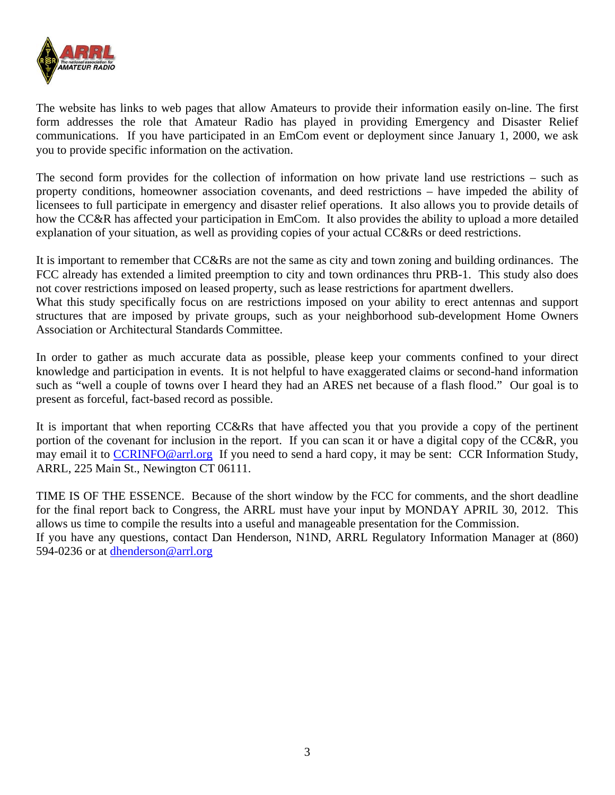

The website has links to web pages that allow Amateurs to provide their information easily on-line. The first form addresses the role that Amateur Radio has played in providing Emergency and Disaster Relief communications. If you have participated in an EmCom event or deployment since January 1, 2000, we ask you to provide specific information on the activation.

The second form provides for the collection of information on how private land use restrictions – such as property conditions, homeowner association covenants, and deed restrictions – have impeded the ability of licensees to full participate in emergency and disaster relief operations. It also allows you to provide details of how the CC&R has affected your participation in EmCom. It also provides the ability to upload a more detailed explanation of your situation, as well as providing copies of your actual CC&Rs or deed restrictions.

It is important to remember that CC&Rs are not the same as city and town zoning and building ordinances. The FCC already has extended a limited preemption to city and town ordinances thru PRB-1. This study also does not cover restrictions imposed on leased property, such as lease restrictions for apartment dwellers.

What this study specifically focus on are restrictions imposed on your ability to erect antennas and support structures that are imposed by private groups, such as your neighborhood sub-development Home Owners Association or Architectural Standards Committee.

In order to gather as much accurate data as possible, please keep your comments confined to your direct knowledge and participation in events. It is not helpful to have exaggerated claims or second-hand information such as "well a couple of towns over I heard they had an ARES net because of a flash flood." Our goal is to present as forceful, fact-based record as possible.

It is important that when reporting CC&Rs that have affected you that you provide a copy of the pertinent portion of the covenant for inclusion in the report. If you can scan it or have a digital copy of the CC&R, you may email it to CCRINFO@arrl.org If you need to send a hard copy, it may be sent: CCR Information Study, ARRL, 225 Main St., Newington CT 06111.

TIME IS OF THE ESSENCE. Because of the short window by the FCC for comments, and the short deadline for the final report back to Congress, the ARRL must have your input by MONDAY APRIL 30, 2012. This allows us time to compile the results into a useful and manageable presentation for the Commission. If you have any questions, contact Dan Henderson, N1ND, ARRL Regulatory Information Manager at (860) 594-0236 or at dhenderson@arrl.org